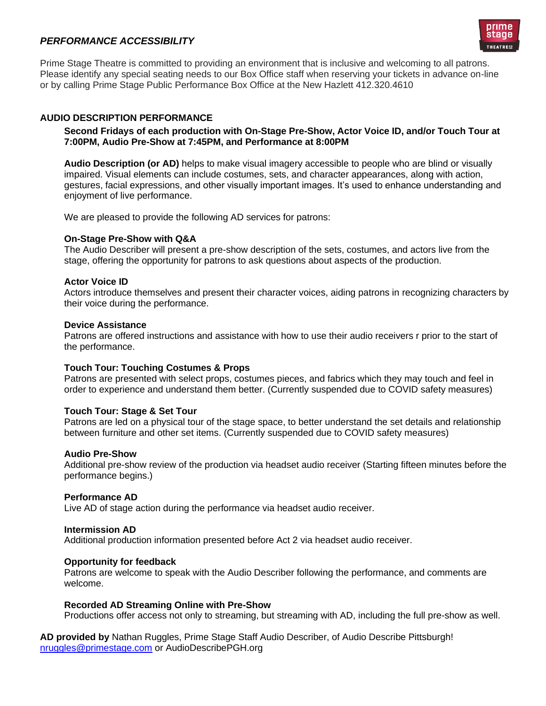# *PERFORMANCE ACCESSIBILITY*



Prime Stage Theatre is committed to providing an environment that is inclusive and welcoming to all patrons. Please identify any special seating needs to our Box Office staff when reserving your tickets in advance on-line or by calling Prime Stage Public Performance Box Office at the New Hazlett 412.320.4610

## **AUDIO DESCRIPTION PERFORMANCE**

## **Second Fridays of each production with On-Stage Pre-Show, Actor Voice ID, and/or Touch Tour at 7:00PM, Audio Pre-Show at 7:45PM, and Performance at 8:00PM**

**Audio Description (or AD)** helps to make visual imagery accessible to people who are blind or visually impaired. Visual elements can include costumes, sets, and character appearances, along with action, gestures, facial expressions, and other visually important images. It's used to enhance understanding and enjoyment of live performance.

We are pleased to provide the following AD services for patrons:

#### **On-Stage Pre-Show with Q&A**

The Audio Describer will present a pre-show description of the sets, costumes, and actors live from the stage, offering the opportunity for patrons to ask questions about aspects of the production.

#### **Actor Voice ID**

Actors introduce themselves and present their character voices, aiding patrons in recognizing characters by their voice during the performance.

#### **Device Assistance**

Patrons are offered instructions and assistance with how to use their audio receivers r prior to the start of the performance.

#### **Touch Tour: Touching Costumes & Props**

Patrons are presented with select props, costumes pieces, and fabrics which they may touch and feel in order to experience and understand them better. (Currently suspended due to COVID safety measures)

#### **Touch Tour: Stage & Set Tour**

Patrons are led on a physical tour of the stage space, to better understand the set details and relationship between furniture and other set items. (Currently suspended due to COVID safety measures)

#### **Audio Pre-Show**

Additional pre-show review of the production via headset audio receiver (Starting fifteen minutes before the performance begins.)

#### **Performance AD**

Live AD of stage action during the performance via headset audio receiver.

## **Intermission AD**

Additional production information presented before Act 2 via headset audio receiver.

#### **Opportunity for feedback**

Patrons are welcome to speak with the Audio Describer following the performance, and comments are welcome.

#### **Recorded AD Streaming Online with Pre-Show**

Productions offer access not only to streaming, but streaming with AD, including the full pre-show as well.

**AD provided by** Nathan Ruggles, Prime Stage Staff Audio Describer, of Audio Describe Pittsburgh! [nruggles@primestage.com](mailto:nruggles@primestage.com) or AudioDescribePGH.org